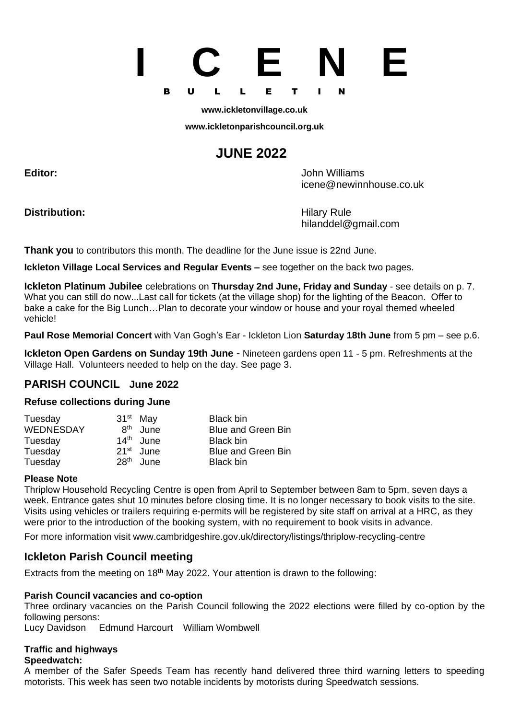# **I C E N E** B U L L E T I N

#### **[www.ickletonvillage.co.uk](http://www.ickletonvillage.co.uk/)**

**[www.ickletonparishcouncil.org.uk](http://www.ickletonparishcouncil.org.uk/)**

# **JUNE 2022**

**Editor:** John Williams

**Distribution:** Hilary Rule

[icene@newinnhouse.co.uk](mailto:Monica.lilley2@btopenworld.com)

hilanddel@gmail.com

**Thank you** to contributors this month. The deadline for the June issue is 22nd June.

**Ickleton Village Local Services and Regular Events –** see together on the back two pages.

**Ickleton Platinum Jubilee** celebrations on **Thursday 2nd June, Friday and Sunday** - see details on p. 7. What you can still do now...Last call for tickets (at the village shop) for the lighting of the Beacon. Offer to bake a cake for the Big Lunch…Plan to decorate your window or house and your royal themed wheeled vehicle!

**Paul Rose Memorial Concert** with Van Gogh's Ear - Ickleton Lion **Saturday 18th June** from 5 pm – see p.6.

**Ickleton Open Gardens on Sunday 19th June** - Nineteen gardens open 11 - 5 pm. Refreshments at the Village Hall. Volunteers needed to help on the day. See page 3.

#### **PARISH COUNCIL June 2022**

#### **Refuse collections during June**

| Tuesday          | $31st$ May       |                       | Black bin                 |
|------------------|------------------|-----------------------|---------------------------|
| <b>WEDNESDAY</b> | <b>Rth</b>       | June                  | <b>Blue and Green Bin</b> |
| Tuesday          |                  | 14 <sup>th</sup> June | Black bin                 |
| Tuesday          |                  | 21 <sup>st</sup> June | <b>Blue and Green Bin</b> |
| Tuesday          | 28 <sup>th</sup> | June                  | Black bin                 |

#### **Please Note**

Thriplow Household Recycling Centre is open from April to September between 8am to 5pm, seven days a week. Entrance gates shut 10 minutes before closing time. It is no longer necessary to book visits to the site. Visits using vehicles or trailers requiring e-permits will be registered by site staff on arrival at a HRC, as they were prior to the introduction of the booking system, with no requirement to book visits in advance.

For more information visit [www.cambridgeshire.gov.uk/directory/listings/thriplow-recycling-centre](http://www.cambridgeshire.gov.uk/directory/listings/thriplow-recycling-centre)

#### **Ickleton Parish Council meeting**

Extracts from the meeting on 18**th** May 2022. Your attention is drawn to the following:

#### **Parish Council vacancies and co-option**

Three ordinary vacancies on the Parish Council following the 2022 elections were filled by co-option by the following persons:

Lucy Davidson Edmund Harcourt William Wombwell

#### **Traffic and highways**

#### **Speedwatch:**

A member of the Safer Speeds Team has recently hand delivered three third warning letters to speeding motorists. This week has seen two notable incidents by motorists during Speedwatch sessions.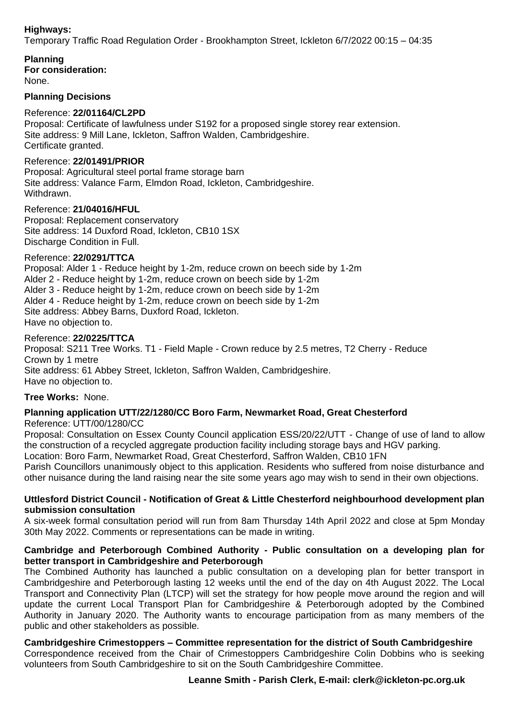#### **Highways:**

Temporary Traffic Road Regulation Order - Brookhampton Street, Ickleton 6/7/2022 00:15 – 04:35

**Planning For consideration:**

None.

#### **Planning Decisions**

#### Reference: **22/01164/CL2PD**

Proposal: Certificate of lawfulness under S192 for a proposed single storey rear extension. Site address: 9 Mill Lane, Ickleton, Saffron Walden, Cambridgeshire. Certificate granted.

#### Reference: **22/01491/PRIOR**

Proposal: Agricultural steel portal frame storage barn Site address: Valance Farm, Elmdon Road, Ickleton, Cambridgeshire. Withdrawn.

#### Reference: **21/04016/HFUL**

Proposal: Replacement conservatory Site address: 14 Duxford Road, Ickleton, CB10 1SX Discharge Condition in Full.

#### Reference: **22/0291/TTCA**

Proposal: Alder 1 - Reduce height by 1-2m, reduce crown on beech side by 1-2m Alder 2 - Reduce height by 1-2m, reduce crown on beech side by 1-2m Alder 3 - Reduce height by 1-2m, reduce crown on beech side by 1-2m Alder 4 - Reduce height by 1-2m, reduce crown on beech side by 1-2m Site address: Abbey Barns, Duxford Road, Ickleton. Have no objection to.

#### Reference: **22/0225/TTCA**

Proposal: S211 Tree Works. T1 - Field Maple - Crown reduce by 2.5 metres, T2 Cherry - Reduce Crown by 1 metre Site address: 61 Abbey Street, Ickleton, Saffron Walden, Cambridgeshire. Have no objection to.

#### **Tree Works:** None.

#### **Planning application UTT/22/1280/CC Boro Farm, Newmarket Road, Great Chesterford** Reference: UTT/00/1280/CC

Proposal: Consultation on Essex County Council application ESS/20/22/UTT - Change of use of land to allow the construction of a recycled aggregate production facility including storage bays and HGV parking.

Location: Boro Farm, Newmarket Road, Great Chesterford, Saffron Walden, CB10 1FN

Parish Councillors unanimously object to this application. Residents who suffered from noise disturbance and other nuisance during the land raising near the site some years ago may wish to send in their own objections.

#### **Uttlesford District Council - Notification of Great & Little Chesterford neighbourhood development plan submission consultation**

A six-week formal consultation period will run from 8am Thursday 14th April 2022 and close at 5pm Monday 30th May 2022. Comments or representations can be made in writing.

#### **Cambridge and Peterborough Combined Authority - Public consultation on a developing plan for better transport in Cambridgeshire and Peterborough**

The Combined Authority has launched a public consultation on a developing plan for better transport in Cambridgeshire and Peterborough lasting 12 weeks until the end of the day on 4th August 2022. The Local Transport and Connectivity Plan (LTCP) will set the strategy for how people move around the region and will update the current Local Transport Plan for Cambridgeshire & Peterborough adopted by the Combined Authority in January 2020. The Authority wants to encourage participation from as many members of the public and other stakeholders as possible.

**Cambridgeshire Crimestoppers – Committee representation for the district of South Cambridgeshire** Correspondence received from the Chair of Crimestoppers Cambridgeshire Colin Dobbins who is seeking volunteers from South Cambridgeshire to sit on the South Cambridgeshire Committee.

#### **Leanne Smith - Parish Clerk, E-mail: [clerk@ickleton-pc.org.uk](mailto:clerk@ickleton-pc.org.uk)**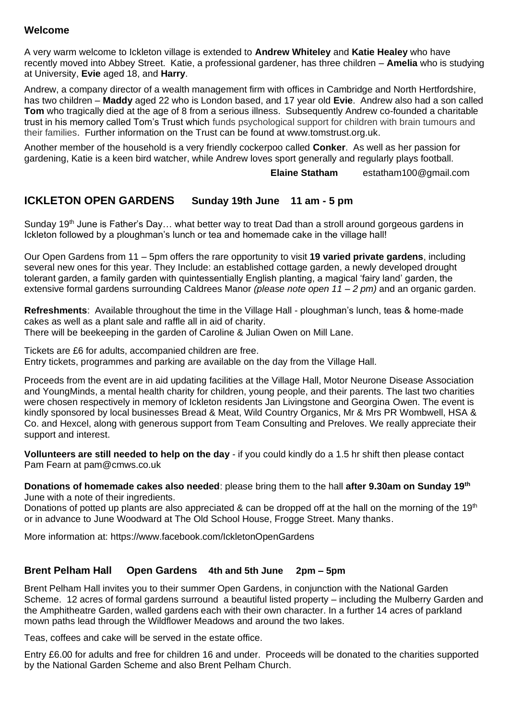#### **Welcome**

A very warm welcome to Ickleton village is extended to **Andrew Whiteley** and **Katie Healey** who have recently moved into Abbey Street. Katie, a professional gardener, has three children – **Amelia** who is studying at University, **Evie** aged 18, and **Harry**.

Andrew, a company director of a wealth management firm with offices in Cambridge and North Hertfordshire, has two children – **Maddy** aged 22 who is London based, and 17 year old **Evie**. Andrew also had a son called **Tom** who tragically died at the age of 8 from a serious illness. Subsequently Andrew co-founded a charitable trust in his memory called Tom's Trust which funds psychological support for children with brain tumours and their families. Further information on the Trust can be found at [www.tomstrust.org.uk.](http://www.tomstrust.org.uk/)

Another member of the household is a very friendly cockerpoo called **Conker**. As well as her passion for gardening, Katie is a keen bird watcher, while Andrew loves sport generally and regularly plays football.

**Elaine Statham** [estatham100@gmail.com](mailto:estatham100@gmail.com)

#### **ICKLETON OPEN GARDENS Sunday 19th June 11 am - 5 pm**

Sunday 19<sup>th</sup> June is Father's Day... what better way to treat Dad than a stroll around gorgeous gardens in Ickleton followed by a ploughman's lunch or tea and homemade cake in the village hall!

Our Open Gardens from 11 – 5pm offers the rare opportunity to visit **19 varied private gardens**, including several new ones for this year. They Include: an established cottage garden, a newly developed drought tolerant garden, a family garden with quintessentially English planting, a magical 'fairy land' garden, the extensive formal gardens surrounding Caldrees Manor *(please note open 11 – 2 pm)* and an organic garden.

**Refreshments**: Available throughout the time in the Village Hall - ploughman's lunch, teas & home-made cakes as well as a plant sale and raffle all in aid of charity. There will be beekeeping in the garden of Caroline & Julian Owen on Mill Lane.

Tickets are £6 for adults, accompanied children are free. Entry tickets, programmes and parking are available on the day from the Village Hall.

Proceeds from the event are in aid updating facilities at the Village Hall, Motor Neurone Disease Association and YoungMinds, a mental health charity for children, young people, and their parents. The last two charities were chosen respectively in memory of Ickleton residents Jan Livingstone and Georgina Owen. The event is kindly sponsored by local businesses Bread & Meat, Wild Country Organics, Mr & Mrs PR Wombwell, HSA & Co. and Hexcel, along with generous support from Team Consulting and Preloves. We really appreciate their support and interest.

**Vollunteers are still needed to help on the day** - if you could kindly do a 1.5 hr shift then please contact Pam Fearn at [pam@cmws.co.uk](mailto:pam@cmws.co.uk)

**Donations of homemade cakes also needed**: please bring them to the hall **after 9.30am on Sunday 19th** June with a note of their ingredients.

Donations of potted up plants are also appreciated & can be dropped off at the hall on the morning of the 19<sup>th</sup> or in advance to June Woodward at The Old School House, Frogge Street. Many thanks.

More information at: <https://www.facebook.com/IckletonOpenGardens>

#### **Brent Pelham Hall Open Gardens 4th and 5th June 2pm – 5pm**

Brent Pelham Hall invites you to their summer Open Gardens, in conjunction with the National Garden Scheme. 12 acres of formal gardens surround a beautiful listed property – including the Mulberry Garden and the Amphitheatre Garden, walled gardens each with their own character. In a further 14 acres of parkland mown paths lead through the Wildflower Meadows and around the two lakes.

Teas, coffees and cake will be served in the estate office.

Entry £6.00 for adults and free for children 16 and under. Proceeds will be donated to the charities supported by the National Garden Scheme and also Brent Pelham Church.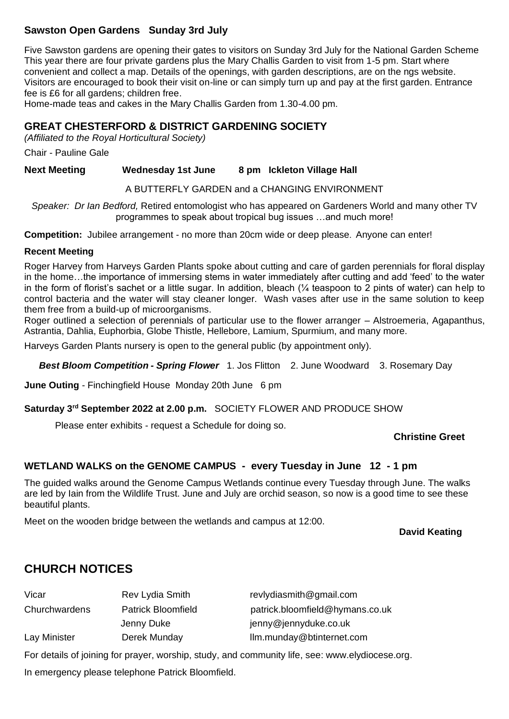#### **Sawston Open Gardens Sunday 3rd July**

Five Sawston gardens are opening their gates to visitors on Sunday 3rd July for the National Garden Scheme This year there are four private gardens plus the Mary Challis Garden to visit from 1-5 pm. Start where convenient and collect a map. Details of the openings, with garden descriptions, are on the ngs website. Visitors are encouraged to book their visit on-line or can simply turn up and pay at the first garden. Entrance fee is £6 for all gardens; children free.

Home-made teas and cakes in the Mary Challis Garden from 1.30-4.00 pm.

#### **GREAT CHESTERFORD & DISTRICT GARDENING SOCIETY**

*(Affiliated to the Royal Horticultural Society)*

Chair - Pauline Gale

**Next Meeting Wednesday 1st June 8 pm Ickleton Village Hall**

A BUTTERFLY GARDEN and a CHANGING ENVIRONMENT

*Speaker: Dr Ian Bedford,* Retired entomologist who has appeared on Gardeners World and many other TV programmes to speak about tropical bug issues …and much more!

**Competition:** Jubilee arrangement - no more than 20cm wide or deep please. Anyone can enter!

#### **Recent Meeting**

Roger Harvey from Harveys Garden Plants spoke about cutting and care of garden perennials for floral display in the home…the importance of immersing stems in water immediately after cutting and add 'feed' to the water in the form of florist's sachet or a little sugar. In addition, bleach (¼ teaspoon to 2 pints of water) can help to control bacteria and the water will stay cleaner longer. Wash vases after use in the same solution to keep them free from a build-up of microorganisms.

Roger outlined a selection of perennials of particular use to the flower arranger – Alstroemeria, Agapanthus, Astrantia, Dahlia, Euphorbia, Globe Thistle, Hellebore, Lamium, Spurmium, and many more.

Harveys Garden Plants nursery is open to the general public (by appointment only).

*Best Bloom Competition - Spring Flower*1. Jos Flitton 2. June Woodward 3. Rosemary Day

**June Outing** - Finchingfield House Monday 20th June 6 pm

**Saturday 3rd September 2022 at 2.00 p.m.** SOCIETY FLOWER AND PRODUCE SHOW

Please enter exhibits - request a Schedule for doing so.

#### **Christine Greet**

#### **WETLAND WALKS on the GENOME CAMPUS - every Tuesday in June 12 - 1 pm**

The guided walks around the Genome Campus Wetlands continue every Tuesday through June. The walks are led by Iain from the Wildlife Trust. June and July are orchid season, so now is a good time to see these beautiful plants.

Meet on the wooden bridge between the wetlands and campus at 12:00.

#### **David Keating**

#### **CHURCH NOTICES**

| Vicar         | <b>Rev Lydia Smith</b>    | revlydiasmith@gmail.com         |
|---------------|---------------------------|---------------------------------|
| Churchwardens | <b>Patrick Bloomfield</b> | patrick.bloomfield@hymans.co.uk |
|               | Jenny Duke                | jenny@jennyduke.co.uk           |
| Lay Minister  | Derek Munday              | Ilm.munday@btinternet.com       |

For details of joining for prayer, worship, study, and community life, see: [www.elydiocese.org.](http://www.elydiocese.org/)

In emergency please telephone Patrick Bloomfield.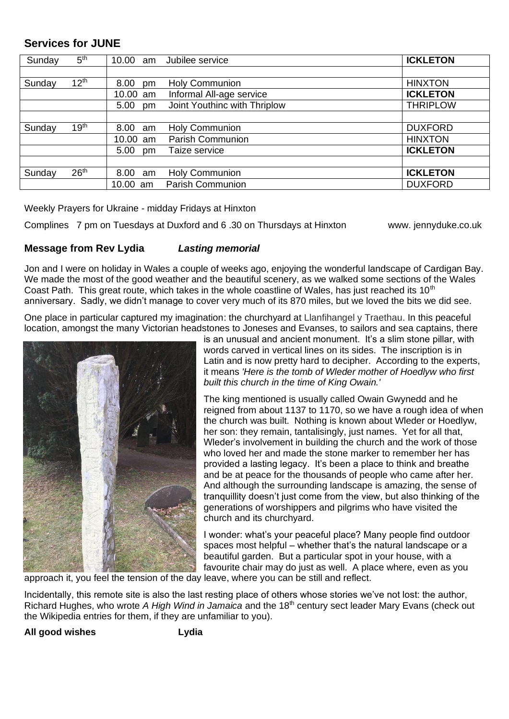#### **Services for JUNE**

| Sunday | 5 <sup>th</sup>  | 10.00 am   | Jubilee service              | <b>ICKLETON</b> |
|--------|------------------|------------|------------------------------|-----------------|
|        |                  |            |                              |                 |
| Sunday | 12 <sup>th</sup> | 8.00<br>pm | <b>Holy Communion</b>        | <b>HINXTON</b>  |
|        |                  | 10.00 am   | Informal All-age service     | <b>ICKLETON</b> |
|        |                  | 5.00 pm    | Joint Youthinc with Thriplow | <b>THRIPLOW</b> |
|        |                  |            |                              |                 |
| Sunday | 19 <sup>th</sup> | 8.00 am    | <b>Holy Communion</b>        | <b>DUXFORD</b>  |
|        |                  | 10.00 am   | <b>Parish Communion</b>      | <b>HINXTON</b>  |
|        |                  | 5.00<br>pm | Taize service                | <b>ICKLETON</b> |
|        |                  |            |                              |                 |
| Sunday | 26 <sup>th</sup> | 8.00 am    | <b>Holy Communion</b>        | <b>ICKLETON</b> |
|        |                  | 10.00 am   | <b>Parish Communion</b>      | <b>DUXFORD</b>  |

Weekly Prayers for Ukraine - midday Fridays at Hinxton

Complines 7 pm on Tuesdays at Duxford and 6 .30 on Thursdays at Hinxton www. jennyduke.co.uk

#### **Message from Rev Lydia** *Lasting memorial*

Jon and I were on holiday in Wales a couple of weeks ago, enjoying the wonderful landscape of Cardigan Bay. We made the most of the good weather and the beautiful scenery, as we walked some sections of the Wales Coast Path. This great route, which takes in the whole coastline of Wales, has just reached its  $10<sup>th</sup>$ anniversary. Sadly, we didn't manage to cover very much of its 870 miles, but we loved the bits we did see.

One place in particular captured my imagination: the churchyard at Llanfihangel y Traethau. In this peaceful location, amongst the many Victorian headstones to Joneses and Evanses, to sailors and sea captains, there



is an unusual and ancient monument. It's a slim stone pillar, with words carved in vertical lines on its sides. The inscription is in Latin and is now pretty hard to decipher. According to the experts, it means *'Here is the tomb of Wleder mother of Hoedlyw who first built this church in the time of King Owain.'*

The king mentioned is usually called Owain Gwynedd and he reigned from about 1137 to 1170, so we have a rough idea of when the church was built. Nothing is known about Wleder or Hoedlyw, her son: they remain, tantalisingly, just names. Yet for all that, Wleder's involvement in building the church and the work of those who loved her and made the stone marker to remember her has provided a lasting legacy. It's been a place to think and breathe and be at peace for the thousands of people who came after her. And although the surrounding landscape is amazing, the sense of tranquillity doesn't just come from the view, but also thinking of the generations of worshippers and pilgrims who have visited the church and its churchyard.

I wonder: what's your peaceful place? Many people find outdoor spaces most helpful – whether that's the natural landscape or a beautiful garden. But a particular spot in your house, with a favourite chair may do just as well. A place where, even as you

approach it, you feel the tension of the day leave, where you can be still and reflect.

Incidentally, this remote site is also the last resting place of others whose stories we've not lost: the author, Richard Hughes, who wrote *A High Wind in Jamaica* and the 18th century sect leader Mary Evans (check out the Wikipedia entries for them, if they are unfamiliar to you).

**All good wishes Lydia**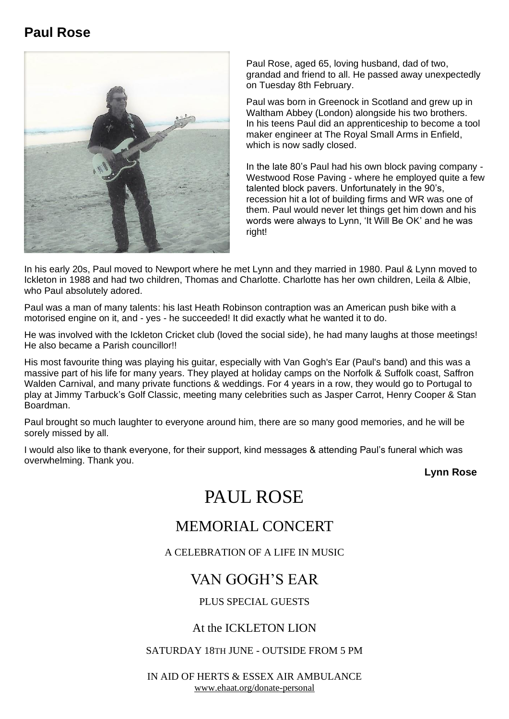## **Paul Rose**



Paul Rose, aged 65, loving husband, dad of two, grandad and friend to all. He passed away unexpectedly on Tuesday 8th February.

Paul was born in Greenock in Scotland and grew up in Waltham Abbey (London) alongside his two brothers. In his teens Paul did an apprenticeship to become a tool maker engineer at The Royal Small Arms in Enfield, which is now sadly closed.

In the late 80's Paul had his own block paving company - Westwood Rose Paving - where he employed quite a few talented block pavers. Unfortunately in the 90's, recession hit a lot of building firms and WR was one of them. Paul would never let things get him down and his words were always to Lynn, 'It Will Be OK' and he was right!

In his early 20s, Paul moved to Newport where he met Lynn and they married in 1980. Paul & Lynn moved to Ickleton in 1988 and had two children, Thomas and Charlotte. Charlotte has her own children, Leila & Albie, who Paul absolutely adored.

Paul was a man of many talents: his last Heath Robinson contraption was an American push bike with a motorised engine on it, and - yes - he succeeded! It did exactly what he wanted it to do.

He was involved with the Ickleton Cricket club (loved the social side), he had many laughs at those meetings! He also became a Parish councillor!!

His most favourite thing was playing his guitar, especially with Van Gogh's Ear (Paul's band) and this was a massive part of his life for many years. They played at holiday camps on the Norfolk & Suffolk coast, Saffron Walden Carnival, and many private functions & weddings. For 4 years in a row, they would go to Portugal to play at Jimmy Tarbuck's Golf Classic, meeting many celebrities such as Jasper Carrot, Henry Cooper & Stan Boardman.

Paul brought so much laughter to everyone around him, there are so many good memories, and he will be sorely missed by all.

I would also like to thank everyone, for their support, kind messages & attending Paul's funeral which was overwhelming. Thank you.

**Lynn Rose**

# PAUL ROSE

# MEMORIAL CONCERT

A CELEBRATION OF A LIFE IN MUSIC

# VAN GOGH'S EAR

#### PLUS SPECIAL GUESTS

#### At the ICKLETON LION

#### SATURDAY 18TH JUNE - OUTSIDE FROM 5 PM

IN AID OF HERTS & ESSEX AIR AMBULANCE [www.ehaat.org/donate-personal](http://www.ehaat.org/donate-personal)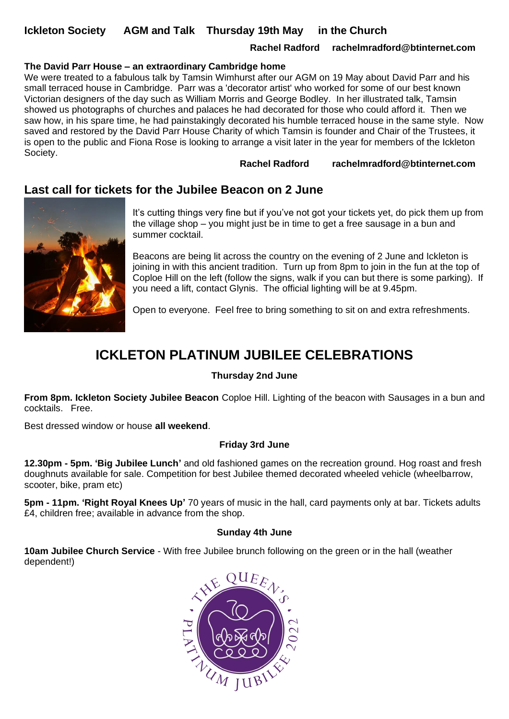#### **Ickleton Society AGM and Talk Thursday 19th May in the Church**

#### **Rachel Radford rachelmradford@btinternet.com**

#### **The David Parr House – an extraordinary Cambridge home**

We were treated to a fabulous talk by Tamsin Wimhurst after our AGM on 19 May about David Parr and his small terraced house in Cambridge. Parr was a 'decorator artist' who worked for some of our best known Victorian designers of the day such as William Morris and George Bodley. In her illustrated talk, Tamsin showed us photographs of churches and palaces he had decorated for those who could afford it. Then we saw how, in his spare time, he had painstakingly decorated his humble terraced house in the same style. Now saved and restored by the David Parr House Charity of which Tamsin is founder and Chair of the Trustees, it is open to the public and Fiona Rose is looking to arrange a visit later in the year for members of the Ickleton Society.

**Rachel Radford rachelmradford@btinternet.com**

#### **Last call for tickets for the Jubilee Beacon on 2 June**



It's cutting things very fine but if you've not got your tickets yet, do pick them up from the village shop – you might just be in time to get a free sausage in a bun and summer cocktail.

Beacons are being lit across the country on the evening of 2 June and Ickleton is joining in with this ancient tradition. Turn up from 8pm to join in the fun at the top of Coploe Hill on the left (follow the signs, walk if you can but there is some parking). If you need a lift, contact Glynis. The official lighting will be at 9.45pm.

Open to everyone. Feel free to bring something to sit on and extra refreshments.

# **ICKLETON PLATINUM JUBILEE CELEBRATIONS**

#### **Thursday 2nd June**

**From 8pm. Ickleton Society Jubilee Beacon** Coploe Hill. Lighting of the beacon with Sausages in a bun and cocktails. Free.

Best dressed window or house **all weekend**.

#### **Friday 3rd June**

**12.30pm - 5pm. 'Big Jubilee Lunch'** and old fashioned games on the recreation ground. Hog roast and fresh doughnuts available for sale. Competition for best Jubilee themed decorated wheeled vehicle (wheelbarrow, scooter, bike, pram etc)

**5pm - 11pm. 'Right Royal Knees Up'** 70 years of music in the hall, card payments only at bar. Tickets adults £4, children free; available in advance from the shop.

#### **Sunday 4th June**

**10am Jubilee Church Service** - With free Jubilee brunch following on the green or in the hall (weather dependent!)

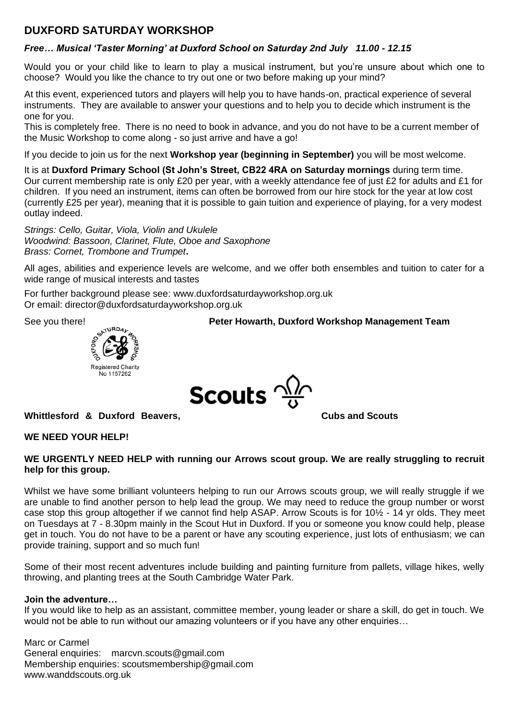#### **DUXFORD SATURDAY WORKSHOP**

#### *Free… Musical 'Taster Morning' at Duxford School on Saturday 2nd July 11.00 - 12.15*

Would you or your child like to learn to play a musical instrument, but you're unsure about which one to choose? Would you like the chance to try out one or two before making up your mind?

At this event, experienced tutors and players will help you to have hands-on, practical experience of several instruments. They are available to answer your questions and to help you to decide which instrument is the one for you.

This is completely free. There is no need to book in advance, and you do not have to be a current member of the Music Workshop to come along - so just arrive and have a go!

If you decide to join us for the next **Workshop year (beginning in September)** you will be most welcome.

It is at **Duxford Primary School (St John's Street, CB22 4RA on Saturday mornings** during term time. Our current membership rate is only £20 per year, with a weekly attendance fee of just £2 for adults and £1 for children. If you need an instrument, items can often be borrowed from our hire stock for the year at low cost (currently £25 per year), meaning that it is possible to gain tuition and experience of playing, for a very modest outlay indeed.

*Strings: Cello, Guitar, Viola, Violin and Ukulele Woodwind: Bassoon, Clarinet, Flute, Oboe and Saxophone Brass: Cornet, Trombone and Trumpet***.** 

All ages, abilities and experience levels are welcome, and we offer both ensembles and tuition to cater for a wide range of musical interests and tastes

For further background please see: [www.duxfordsaturdayworkshop.org.uk](http://www.duxfordsaturdayworkshop.org.uk/) Or email: [director@duxfordsaturdayworkshop.org.uk](mailto:director@duxfordsaturdayworkshop.org.uk)



See you there!<br>
<sup>
SkiuRD4</sup>



**Whittlesford & Duxford Beavers, Cubs and Scouts Cubs and Scouts** 

#### **WE NEED YOUR HELP!**

#### **WE URGENTLY NEED HELP with running our Arrows scout group. We are really struggling to recruit help for this group.**

Whilst we have some brilliant volunteers helping to run our Arrows scouts group, we will really struggle if we are unable to find another person to help lead the group. We may need to reduce the group number or worst case stop this group altogether if we cannot find help ASAP. Arrow Scouts is for 10½ - 14 yr olds. They meet on Tuesdays at 7 - 8.30pm mainly in the Scout Hut in Duxford. If you or someone you know could help, please get in touch. You do not have to be a parent or have any scouting experience, just lots of enthusiasm; we can provide training, support and so much fun!

Some of their most recent adventures include building and painting furniture from pallets, village hikes, welly throwing, and planting trees at the South Cambridge Water Park.

#### **Join the adventure…**

If you would like to help as an assistant, committee member, young leader or share a skill, do get in touch. We would not be able to run without our amazing volunteers or if you have any other enquiries...

Marc or Carmel General enquiries: [marcvn.scouts@gmail.com](mailto:marcvn.scouts@gmail.com) Membership enquiries: [scoutsmembership@gmail.com](mailto:scoutsmembership@gmail.com) [www.wanddscouts.org.uk](http://www.wanddscouts.org.uk/)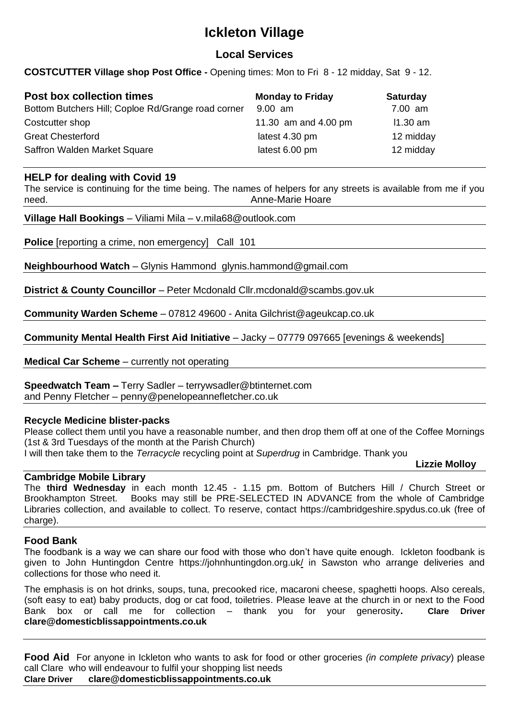# **Ickleton Village**

#### **Local Services**

**COSTCUTTER Village shop Post Office -** Opening times: Mon to Fri 8 - 12 midday, Sat 9 - 12.

| <b>Post box collection times</b><br>Bottom Butchers Hill; Coploe Rd/Grange road corner | <b>Monday to Friday</b><br>$9.00$ am | <b>Saturday</b><br>7.00 am |
|----------------------------------------------------------------------------------------|--------------------------------------|----------------------------|
| Costcutter shop                                                                        | 11.30 am and 4.00 pm                 | $11.30$ am                 |
| <b>Great Chesterford</b>                                                               | latest 4.30 pm                       | 12 midday                  |
| Saffron Walden Market Square                                                           | latest 6.00 pm                       | 12 midday                  |

#### **HELP for dealing with Covid 19**

The service is continuing for the time being. The names of helpers for any streets is available from me if you need. *Anne-Marie Hoare* 

**Village Hall Bookings** – Viliami Mila – v.mila68@outlook.com

**Police** [reporting a crime, non emergency] Call 101

**Neighbourhood Watch** – Glynis Hammond glynis.hammond@gmail.com

**District & County Councillor** – Peter Mcdonald [Cllr.mcdonald@scambs.gov.uk](mailto:Cllr.mcdonald@scambs.gov.uk)

**Community Warden Scheme** – 07812 49600 - Anita Gilchrist@ageukcap.co.uk

**Community Mental Health First Aid Initiative** – Jacky – 07779 097665 [evenings & weekends]

**Medical Car Scheme** – currently not operating

**Speedwatch Team –** Terry Sadler – [terrywsadler@btinternet.com](mailto:terrywsadler@btinternet.com) and Penny Fletcher – penny@penelopeannefletcher.co.uk

#### **Recycle Medicine blister-packs**

Please collect them until you have a reasonable number, and then drop them off at one of the Coffee Mornings (1st & 3rd Tuesdays of the month at the Parish Church)

 **Lizzie Molloy**

I will then take them to the *Terracycle* recycling point at *Superdrug* in Cambridge. Thank you

#### **Cambridge Mobile Library**

The **third Wednesday** in each month 12.45 - 1.15 pm. Bottom of Butchers Hill / Church Street or Brookhampton Street. Books may still be PRE-SELECTED IN ADVANCE from the whole of Cambridge Libraries collection, and available to collect. To reserve, contact [https://cambridgeshire.spydus.co.uk](https://lnks.gd/l/eyJhbGciOiJIUzI1NiJ9.eyJidWxsZXRpbl9saW5rX2lkIjoxMDEsInVyaSI6ImJwMjpjbGljayIsImJ1bGxldGluX2lkIjoiMjAyMDA5MTYuMjcxOTMxNzEiLCJ1cmwiOiJodHRwczovL2xua3MuZ2QvbC9leUpoYkdjaU9pSklVekkxTmlKOS5leUppZFd4c1pYUnBibDlzYVc1clgybGtJam94TVRjc0luVnlhU0k2SW1Kd01qcGpiR2xqYXlJc0ltSjFiR3hsZEdsdVgybGtJam9pTWpBeU1EQTVNREV1TWpZek5qZ3hOekVpTENKMWNtd2lPaUpvZEhSd2N6b3ZMMk5oYldKeWFXUm5aWE5vYVhKbExuTndlV1IxY3k1amJ5NTFheTlqWjJrdFltbHVMM053ZVdSMWN5NWxlR1V2VFZOSFZGSk9MMDlRUVVNdlNFOU5SVDlJVDAxRlVGSk5VejFIUlU1UVFWSkJUVk1tZFh) (free of charge).

#### **Food Bank**

The foodbank is a way we can share our food with those who don't have quite enough. Ickleton foodbank is given to John Huntingdon Centre <https://johnhuntingdon.org.uk/> in Sawston who arrange deliveries and collections for those who need it.

The emphasis is on hot drinks, soups, tuna, precooked rice, macaroni cheese, spaghetti hoops. Also cereals, (soft easy to eat) baby products, dog or cat food, toiletries. Please leave at the church in or next to the Food Bank box or call me for collection – thank you for your generosity**. Clare Driver [clare@domesticblissappointments.co.uk](mailto:clare@domesticblissappointments.co.uk)**

**Food Aid** For anyone in Ickleton who wants to ask for food or other groceries *(in complete privacy*) please call Clare who will endeavour to fulfil your shopping list needs **Clare Driver [clare@domesticblissappointments.co.uk](mailto:clare@domesticblissappointments.co.uk)**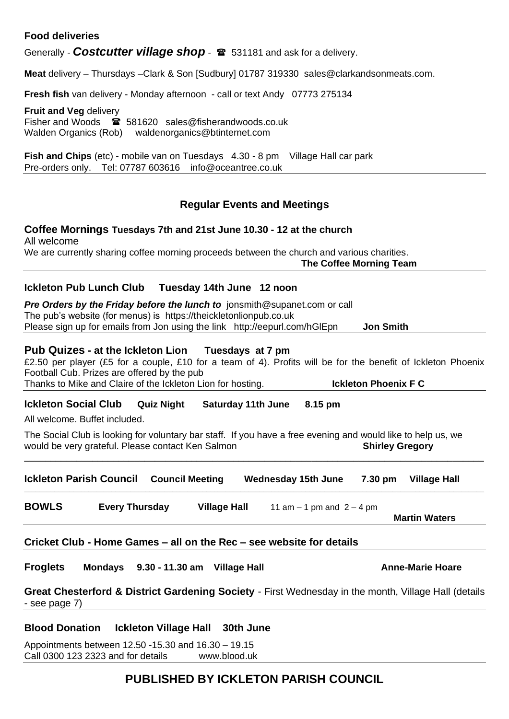#### **Food deliveries**

Generally **- Costcutter village shop** -  $\mathbf{\hat{z}}$  531181 and ask for a delivery.

**Meat** delivery – Thursdays –Clark & Son [Sudbury] 01787 319330 [sales@clarkandsonmeats.com.](mailto:sales@clarkandsonmeats.com)

**Fresh fish** van delivery - Monday afternoon - call or text Andy 07773 275134

**Fruit and Veg** delivery Fisher and Woods 581620 [sales@fisherandwoods.co.uk](mailto:sales@fisherandwoods.co.uk) Walden Organics (Rob) [waldenorganics@btinternet.com](mailto:waldenorganics@btinternet.com)

**Fish and Chips** (etc) - mobile van on Tuesdays 4.30 - 8 pm Village Hall car park Pre-orders only. Tel: 07787 603616 [info@oceantree.co.uk](mailto:info@oceantree.co.uk)

#### **Regular Events and Meetings**

**Coffee Mornings Tuesdays 7th and 21st June 10.30 - 12 at the church** All welcome We are currently sharing coffee morning proceeds between the church and various charities. **The Coffee Morning Team**

#### **Ickleton Pub Lunch Club Tuesday 14th June 12 noon**

**Pre Orders by the Friday before the lunch to** [jonsmith@supanet.com](mailto:jonsmith@supanet.com) or call The pub's website (for menus) is https://theickletonlionpub.co.uk Please sign up for emails from Jon using the link <http://eepurl.com/hGlEpn>**Jon Smith**

#### **Pub Quizes - at the Ickleton Lion Tuesdays at 7 pm**

£2.50 per player (£5 for a couple, £10 for a team of 4). Profits will be for the benefit of Ickleton Phoenix Football Cub. Prizes are offered by the pub Thanks to Mike and Claire of the Ickleton Lion for hosting. **Ickleton Phoenix F C**

**Ickleton Social Club Quiz Night Saturday 11th June 8.15 pm**

All welcome. Buffet included.

The Social Club is looking for voluntary bar staff. If you have a free evening and would like to help us, we **would be very grateful. Please contact Ken Salmon <b>Shirley Gregory Shirley Gregory** 

\_\_\_\_\_\_\_\_\_\_\_\_\_\_\_\_\_\_\_\_\_\_\_\_\_\_\_\_\_\_\_\_\_\_\_\_\_\_\_\_\_\_\_\_\_\_\_\_\_\_\_\_\_\_\_\_\_\_\_\_\_\_\_\_\_\_\_\_\_\_\_\_\_\_\_\_\_\_\_\_\_\_\_\_\_\_\_\_

|              | <b>Ickleton Parish Council</b> | <b>Council Meeting</b> |                     | <b>Wednesday 15th June</b>                                           | 7.30 pm | <b>Village Hall</b>  |
|--------------|--------------------------------|------------------------|---------------------|----------------------------------------------------------------------|---------|----------------------|
| <b>BOWLS</b> | <b>Every Thursday</b>          |                        | <b>Village Hall</b> | 11 am $-$ 1 pm and $2 - 4$ pm                                        |         |                      |
|              |                                |                        |                     |                                                                      |         | <b>Martin Waters</b> |
|              |                                |                        |                     |                                                                      |         |                      |
|              |                                |                        |                     | Cricket Club - Home Games - all on the Rec - see website for details |         |                      |

**Great Chesterford & District Gardening Society** - First Wednesday in the month, Village Hall (details - see page 7)

#### **Blood Donation Ickleton Village Hall 30th June**

Appointments between 12.50 -15.30 and 16.30 – 19.15 Call 0300 123 2323 and for details www.blood.uk

#### **PUBLISHED BY ICKLETON PARISH COUNCIL**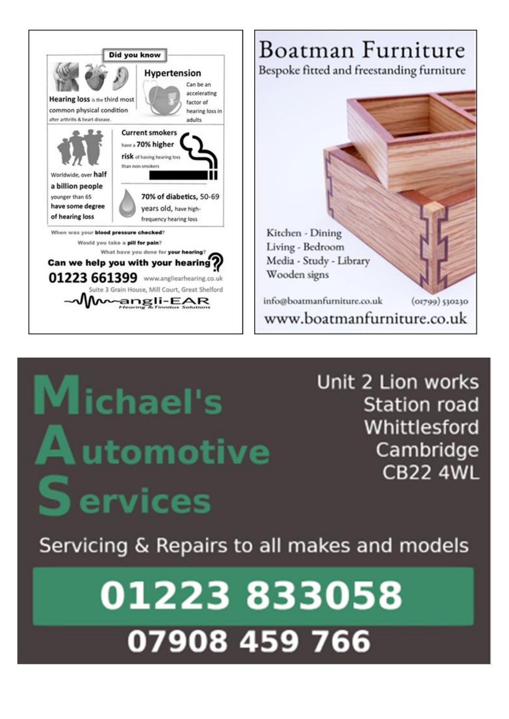

# **Michael's A**utomotive **Services**

Unit 2 Lion works **Station road** Whittlesford Cambridge **CB22 4WL** 

Servicing & Repairs to all makes and models

01223833058 07908 459 766